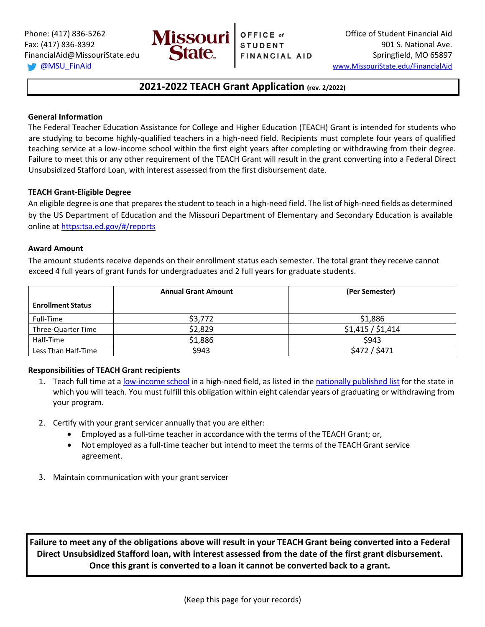

# **2021-2022 TEACH Grant Application (rev. 2/2022)**

## **General Information**

The Federal Teacher Education Assistance for College and Higher Education (TEACH) Grant is intended for students who are studying to become highly-qualified teachers in a high-need field. Recipients must complete four years of qualified teaching service at a low-income school within the first eight years after completing or withdrawing from their degree. Failure to meet this or any other requirement of the TEACH Grant will result in the grant converting into a Federal Direct Unsubsidized Stafford Loan, with interest assessed from the first disbursement date.

## **TEACH Grant-Eligible Degree**

An eligible degree is one that prepares the student to teach in a high-need field. The list of high-need fields as determined by the US Department of Education and the Missouri Department of Elementary and Secondary Education is available online at [https:tsa.ed.gov/#/reports](https://tsa.ed.gov/#/reports)

### **Award Amount**

The amount students receive depends on their enrollment status each semester. The total grant they receive cannot exceed 4 full years of grant funds for undergraduates and 2 full years for graduate students.

|                          | <b>Annual Grant Amount</b> | (Per Semester)    |  |
|--------------------------|----------------------------|-------------------|--|
| <b>Enrollment Status</b> |                            |                   |  |
| Full-Time                | \$3,772                    | \$1,886           |  |
| Three-Quarter Time       | \$2,829                    | \$1,415 / \$1,414 |  |
| Half-Time                | \$1,886                    | \$943             |  |
| Less Than Half-Time      | \$943                      | \$472 / \$471     |  |

### **Responsibilities of TEACH Grant recipients**

- 1. Teach full time at [a low-income](https://studentloans.gov/myDirectLoan/tcli.action) school in a high-need field, as listed in th[e nationally published list](https://tsa.ed.gov/#/reports) for the state in which you will teach. You must fulfill this obligation within eight calendar years of graduating or withdrawing from your program.
- 2. Certify with your grant servicer annually that you are either:
	- Employed as a full-time teacher in accordance with the terms of the TEACH Grant; or,
	- Not employed as a full-time teacher but intend to meet the terms of the TEACH Grant service agreement.
- 3. Maintain communication with your grant servicer

**Failure to meet any of the obligations above will result in your TEACH Grant being converted into a Federal Direct Unsubsidized Stafford loan, with interest assessed from the date of the first grant disbursement. Once this grant is converted to a loan it cannot be converted back to a grant.**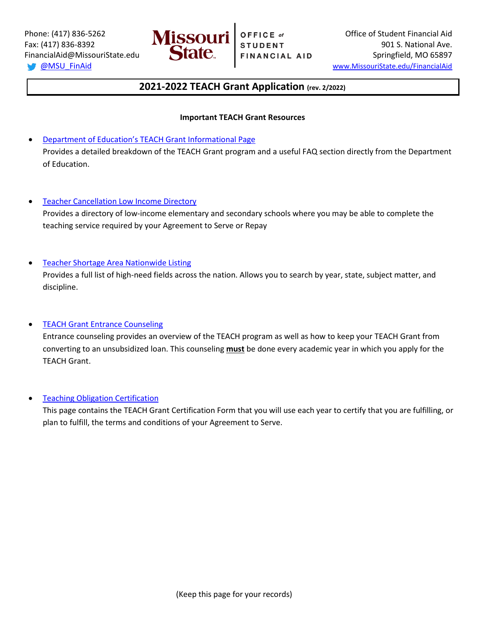

# **2021-2022 TEACH Grant Application (rev. 2/2022)**

## **Important TEACH Grant Resources**

- [Department of Education's TEACH Grant](https://studentaid.ed.gov/sa/types/grants-scholarships/teach) Informational Page Provides a detailed breakdown of the TEACH Grant program and a useful FAQ section directly from the Department of Education.
- **[Teacher Cancellation Low Income Directory](https://studentloans.gov/myDirectLoan/tcli.action)**

Provides a directory of low-income elementary and secondary schools where you may be able to complete the teaching service required by your Agreement to Serve or Repay

### • [Teacher Shortage Area Nationwide Listing](https://tsa.ed.gov/#/reports)

Provides a full list of high-need fields across the nation. Allows you to search by year, state, subject matter, and discipline.

# • [TEACH Grant Entrance Counseling](https://studentloans.gov/myDirectLoan/launchTeach.action)

Entrance counseling provides an overview of the TEACH program as well as how to keep your TEACH Grant from converting to an unsubsidized loan. This counseling **must** be done every academic year in which you apply for the TEACH Grant.

### • [Teaching Obligation Certification](https://myfedloan.org/borrowers/special-programs/teach-grants)

This page contains the TEACH Grant Certification Form that you will use each year to certify that you are fulfilling, or plan to fulfill, the terms and conditions of your Agreement to Serve.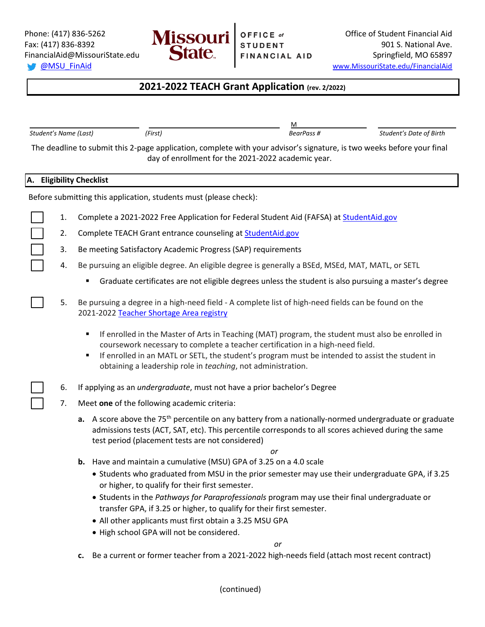

<u>Manufacture and the contract of the contract of the contract of the contract of the contract of the contract of the contract of the contract of the contract of the contract of the contract of the contract of the contract </u>

# **2021-2022 TEACH Grant Application (rev. 2/2022)**

*Student's Name (Last) (First) BearPass # Student's Date of Birth*

| The deadline to submit this 2-page application, complete with your advisor's signature, is two weeks before your final<br>day of enrollment for the 2021-2022 academic year. |                                                                   |    |                                                                                                                                                                                                                                                                                                                                                                  |  |  |  |
|------------------------------------------------------------------------------------------------------------------------------------------------------------------------------|-------------------------------------------------------------------|----|------------------------------------------------------------------------------------------------------------------------------------------------------------------------------------------------------------------------------------------------------------------------------------------------------------------------------------------------------------------|--|--|--|
|                                                                                                                                                                              |                                                                   |    | A. Eligibility Checklist                                                                                                                                                                                                                                                                                                                                         |  |  |  |
|                                                                                                                                                                              | Before submitting this application, students must (please check): |    |                                                                                                                                                                                                                                                                                                                                                                  |  |  |  |
|                                                                                                                                                                              |                                                                   | 1. | Complete a 2021-2022 Free Application for Federal Student Aid (FAFSA) at StudentAid.gov                                                                                                                                                                                                                                                                          |  |  |  |
|                                                                                                                                                                              |                                                                   | 2. | Complete TEACH Grant entrance counseling at <b>StudentAid.gov</b>                                                                                                                                                                                                                                                                                                |  |  |  |
|                                                                                                                                                                              |                                                                   | 3. | Be meeting Satisfactory Academic Progress (SAP) requirements                                                                                                                                                                                                                                                                                                     |  |  |  |
|                                                                                                                                                                              |                                                                   | 4. | Be pursuing an eligible degree. An eligible degree is generally a BSEd, MSEd, MAT, MATL, or SETL                                                                                                                                                                                                                                                                 |  |  |  |
|                                                                                                                                                                              |                                                                   |    | Graduate certificates are not eligible degrees unless the student is also pursuing a master's degree                                                                                                                                                                                                                                                             |  |  |  |
|                                                                                                                                                                              |                                                                   | 5. | Be pursuing a degree in a high-need field - A complete list of high-need fields can be found on the<br>2021-2022 Teacher Shortage Area registry                                                                                                                                                                                                                  |  |  |  |
|                                                                                                                                                                              |                                                                   |    | If enrolled in the Master of Arts in Teaching (MAT) program, the student must also be enrolled in<br>٠<br>coursework necessary to complete a teacher certification in a high-need field.<br>If enrolled in an MATL or SETL, the student's program must be intended to assist the student in<br>٠<br>obtaining a leadership role in teaching, not administration. |  |  |  |
|                                                                                                                                                                              |                                                                   | 6. | If applying as an <i>undergraduate</i> , must not have a prior bachelor's Degree                                                                                                                                                                                                                                                                                 |  |  |  |
|                                                                                                                                                                              |                                                                   | 7. | Meet one of the following academic criteria:                                                                                                                                                                                                                                                                                                                     |  |  |  |
|                                                                                                                                                                              |                                                                   |    | <b>a.</b> A score above the $75th$ percentile on any battery from a nationally-normed undergraduate or graduate<br>admissions tests (ACT, SAT, etc). This percentile corresponds to all scores achieved during the same<br>test period (placement tests are not considered)<br>or                                                                                |  |  |  |
|                                                                                                                                                                              |                                                                   |    | Have and maintain a cumulative (MSU) GPA of 3.25 on a 4.0 scale<br>b.                                                                                                                                                                                                                                                                                            |  |  |  |
|                                                                                                                                                                              |                                                                   |    | • Students who graduated from MSU in the prior semester may use their undergraduate GPA, if 3.25<br>or higher, to qualify for their first semester.                                                                                                                                                                                                              |  |  |  |
|                                                                                                                                                                              |                                                                   |    | • Students in the Pathways for Paraprofessionals program may use their final undergraduate or<br>transfer GPA, if 3.25 or higher, to qualify for their first semester.                                                                                                                                                                                           |  |  |  |
|                                                                                                                                                                              |                                                                   |    | • All other applicants must first obtain a 3.25 MSU GPA                                                                                                                                                                                                                                                                                                          |  |  |  |
|                                                                                                                                                                              |                                                                   |    | . High school GPA will not be considered.                                                                                                                                                                                                                                                                                                                        |  |  |  |
|                                                                                                                                                                              |                                                                   |    | or                                                                                                                                                                                                                                                                                                                                                               |  |  |  |
|                                                                                                                                                                              |                                                                   |    | Be a current or former teacher from a 2021-2022 high-needs field (attach most recent contract)<br>c.                                                                                                                                                                                                                                                             |  |  |  |